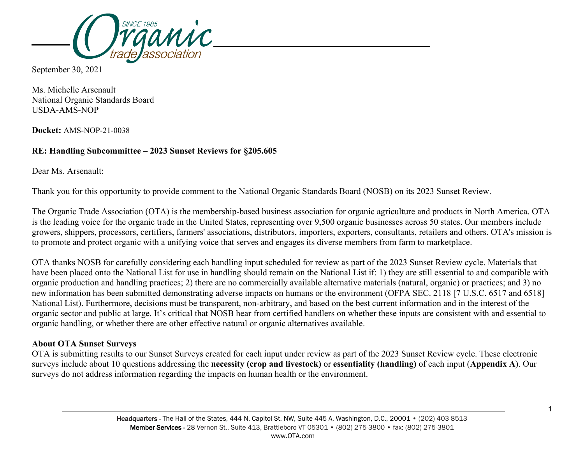

September 30, 2021

Ms. Michelle Arsenault National Organic Standards Board USDA-AMS-NOP

**Docket:** AMS-NOP-21-0038

# **RE: Handling Subcommittee – 2023 Sunset Reviews for §205.605**

Dear Ms. Arsenault:

Thank you for this opportunity to provide comment to the National Organic Standards Board (NOSB) on its 2023 Sunset Review.

The Organic Trade Association (OTA) is the membership-based business association for organic agriculture and products in North America. OTA is the leading voice for the organic trade in the United States, representing over 9,500 organic businesses across 50 states. Our members include growers, shippers, processors, certifiers, farmers' associations, distributors, importers, exporters, consultants, retailers and others. OTA's mission is to promote and protect organic with a unifying voice that serves and engages its diverse members from farm to marketplace.

OTA thanks NOSB for carefully considering each handling input scheduled for review as part of the 2023 Sunset Review cycle. Materials that have been placed onto the National List for use in handling should remain on the National List if: 1) they are still essential to and compatible with organic production and handling practices; 2) there are no commercially available alternative materials (natural, organic) or practices; and 3) no new information has been submitted demonstrating adverse impacts on humans or the environment (OFPA SEC. 2118 [7 U.S.C. 6517 and 6518] National List). Furthermore, decisions must be transparent, non-arbitrary, and based on the best current information and in the interest of the organic sector and public at large. It's critical that NOSB hear from certified handlers on whether these inputs are consistent with and essential to organic handling, or whether there are other effective natural or organic alternatives available.

## **About OTA Sunset Surveys**

OTA is submitting results to our Sunset Surveys created for each input under review as part of the 2023 Sunset Review cycle. These electronic surveys include about 10 questions addressing the **necessity (crop and livestock)** or **essentiality (handling)** of each input (**Appendix A**). Our surveys do not address information regarding the impacts on human health or the environment.

1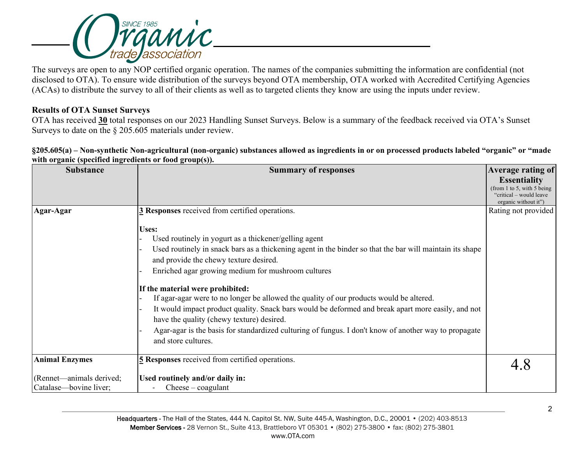

The surveys are open to any NOP certified organic operation. The names of the companies submitting the information are confidential (not disclosed to OTA). To ensure wide distribution of the surveys beyond OTA membership, OTA worked with Accredited Certifying Agencies (ACAs) to distribute the survey to all of their clients as well as to targeted clients they know are using the inputs under review.

## **Results of OTA Sunset Surveys**

OTA has received **30** total responses on our 2023 Handling Sunset Surveys. Below is a summary of the feedback received via OTA's Sunset Surveys to date on the § 205.605 materials under review.

**§205.605(a) – Non-synthetic Non-agricultural (non-organic) substances allowed as ingredients in or on processed products labeled "organic" or "made with organic (specified ingredients or food group(s)).**

| <b>Substance</b>                                   | <b>Summary of responses</b>                                                                                                                                                                                                                                                                                                                                                                                                                                                                                                                                                                                                                                                                  | Average rating of                                                                                    |
|----------------------------------------------------|----------------------------------------------------------------------------------------------------------------------------------------------------------------------------------------------------------------------------------------------------------------------------------------------------------------------------------------------------------------------------------------------------------------------------------------------------------------------------------------------------------------------------------------------------------------------------------------------------------------------------------------------------------------------------------------------|------------------------------------------------------------------------------------------------------|
|                                                    |                                                                                                                                                                                                                                                                                                                                                                                                                                                                                                                                                                                                                                                                                              | <b>Essentiality</b><br>(from 1 to 5, with 5 being<br>"critical – would leave<br>organic without it") |
| Agar-Agar                                          | 3 Responses received from certified operations.                                                                                                                                                                                                                                                                                                                                                                                                                                                                                                                                                                                                                                              | Rating not provided                                                                                  |
|                                                    | Uses:<br>Used routinely in yogurt as a thickener/gelling agent<br>Used routinely in snack bars as a thickening agent in the binder so that the bar will maintain its shape<br>and provide the chewy texture desired.<br>Enriched agar growing medium for mushroom cultures<br>If the material were prohibited:<br>If agar-agar were to no longer be allowed the quality of our products would be altered.<br>It would impact product quality. Snack bars would be deformed and break apart more easily, and not<br>have the quality (chewy texture) desired.<br>Agar-agar is the basis for standardized culturing of fungus. I don't know of another way to propagate<br>and store cultures. |                                                                                                      |
| <b>Animal Enzymes</b>                              | 5 Responses received from certified operations.                                                                                                                                                                                                                                                                                                                                                                                                                                                                                                                                                                                                                                              |                                                                                                      |
| (Rennet—animals derived;<br>Catalase—bovine liver; | Used routinely and/or daily in:<br>$\text{Cheese}-\text{coagulant}$                                                                                                                                                                                                                                                                                                                                                                                                                                                                                                                                                                                                                          |                                                                                                      |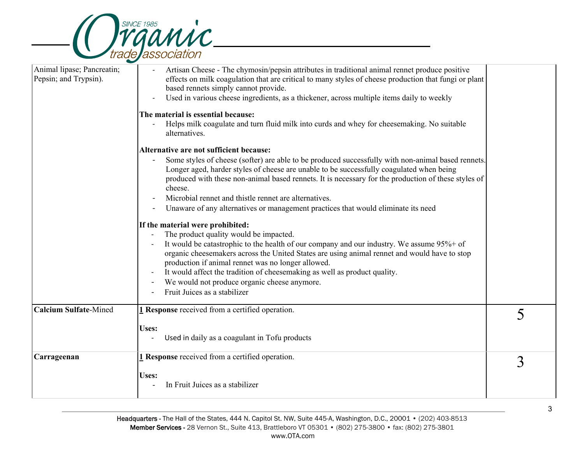

| Animal lipase; Pancreatin;<br>Artisan Cheese - The chymosin/pepsin attributes in traditional animal rennet produce positive<br>Pepsin; and Trypsin).<br>effects on milk coagulation that are critical to many styles of cheese production that fungi or plant<br>based rennets simply cannot provide.<br>Used in various cheese ingredients, as a thickener, across multiple items daily to weekly<br>The material is essential because:<br>Helps milk coagulate and turn fluid milk into curds and whey for cheesemaking. No suitable<br>alternatives.<br>Alternative are not sufficient because:<br>Some styles of cheese (softer) are able to be produced successfully with non-animal based rennets.<br>Longer aged, harder styles of cheese are unable to be successfully coagulated when being<br>produced with these non-animal based rennets. It is necessary for the production of these styles of<br>cheese.<br>Microbial rennet and thistle rennet are alternatives.<br>Unaware of any alternatives or management practices that would eliminate its need<br>If the material were prohibited:<br>The product quality would be impacted.<br>It would be catastrophic to the health of our company and our industry. We assume 95%+ of<br>organic cheesemakers across the United States are using animal rennet and would have to stop<br>production if animal rennet was no longer allowed.<br>It would affect the tradition of cheesemaking as well as product quality.<br>We would not produce organic cheese anymore.<br>Fruit Juices as a stabilizer<br><b>Calcium Sulfate-Mined</b><br>1 Response received from a certified operation.<br>5<br>Uses:<br>Used in daily as a coagulant in Tofu products<br>1 Response received from a certified operation.<br>Carrageenan<br>3<br><b>Uses:</b><br>In Fruit Juices as a stabilizer | $\overline{\phantom{0}}$ |  |
|------------------------------------------------------------------------------------------------------------------------------------------------------------------------------------------------------------------------------------------------------------------------------------------------------------------------------------------------------------------------------------------------------------------------------------------------------------------------------------------------------------------------------------------------------------------------------------------------------------------------------------------------------------------------------------------------------------------------------------------------------------------------------------------------------------------------------------------------------------------------------------------------------------------------------------------------------------------------------------------------------------------------------------------------------------------------------------------------------------------------------------------------------------------------------------------------------------------------------------------------------------------------------------------------------------------------------------------------------------------------------------------------------------------------------------------------------------------------------------------------------------------------------------------------------------------------------------------------------------------------------------------------------------------------------------------------------------------------------------------------------------------------------------------------------------------------------------------------|--------------------------|--|
|                                                                                                                                                                                                                                                                                                                                                                                                                                                                                                                                                                                                                                                                                                                                                                                                                                                                                                                                                                                                                                                                                                                                                                                                                                                                                                                                                                                                                                                                                                                                                                                                                                                                                                                                                                                                                                                |                          |  |
|                                                                                                                                                                                                                                                                                                                                                                                                                                                                                                                                                                                                                                                                                                                                                                                                                                                                                                                                                                                                                                                                                                                                                                                                                                                                                                                                                                                                                                                                                                                                                                                                                                                                                                                                                                                                                                                |                          |  |
|                                                                                                                                                                                                                                                                                                                                                                                                                                                                                                                                                                                                                                                                                                                                                                                                                                                                                                                                                                                                                                                                                                                                                                                                                                                                                                                                                                                                                                                                                                                                                                                                                                                                                                                                                                                                                                                |                          |  |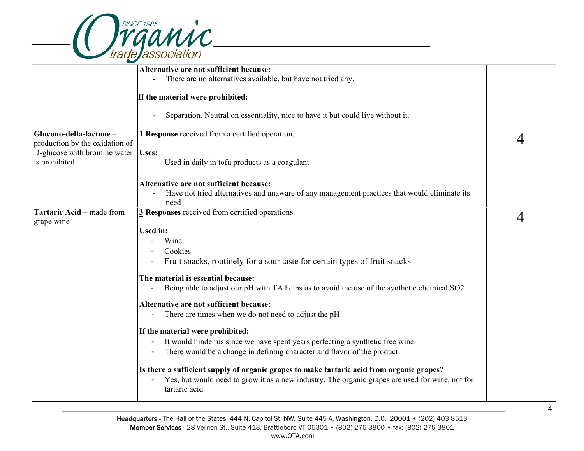

|                                                          | Alternative are not sufficient because:                                                                                 |   |
|----------------------------------------------------------|-------------------------------------------------------------------------------------------------------------------------|---|
|                                                          | There are no alternatives available, but have not tried any.<br>$\overline{\phantom{a}}$                                |   |
|                                                          | If the material were prohibited:                                                                                        |   |
|                                                          | Separation. Neutral on essentiality, nice to have it but could live without it.<br>$\overline{\phantom{a}}$             |   |
| Glucono-delta-lactone-<br>production by the oxidation of | 1 Response received from a certified operation.                                                                         | 4 |
| D-glucose with bromine water                             | <b>Uses:</b>                                                                                                            |   |
| is prohibited.                                           | Used in daily in tofu products as a coagulant                                                                           |   |
|                                                          | Alternative are not sufficient because:                                                                                 |   |
|                                                          | Have not tried alternatives and unaware of any management practices that would eliminate its                            |   |
|                                                          | need                                                                                                                    |   |
| Tartaric Acid - made from                                | 3 Responses received from certified operations.                                                                         | 4 |
| grape wine                                               |                                                                                                                         |   |
|                                                          | <b>Used in:</b>                                                                                                         |   |
|                                                          | Wine                                                                                                                    |   |
|                                                          | Cookies                                                                                                                 |   |
|                                                          | Fruit snacks, routinely for a sour taste for certain types of fruit snacks                                              |   |
|                                                          | The material is essential because:                                                                                      |   |
|                                                          | Being able to adjust our pH with TA helps us to avoid the use of the synthetic chemical SO2<br>$\overline{\phantom{a}}$ |   |
|                                                          | Alternative are not sufficient because:                                                                                 |   |
|                                                          | There are times when we do not need to adjust the pH                                                                    |   |
|                                                          | If the material were prohibited:                                                                                        |   |
|                                                          | It would hinder us since we have spent years perfecting a synthetic free wine.<br>$\blacksquare$                        |   |
|                                                          | There would be a change in defining character and flavor of the product                                                 |   |
|                                                          | Is there a sufficient supply of organic grapes to make tartaric acid from organic grapes?                               |   |
|                                                          | Yes, but would need to grow it as a new industry. The organic grapes are used for wine, not for<br>tartaric acid.       |   |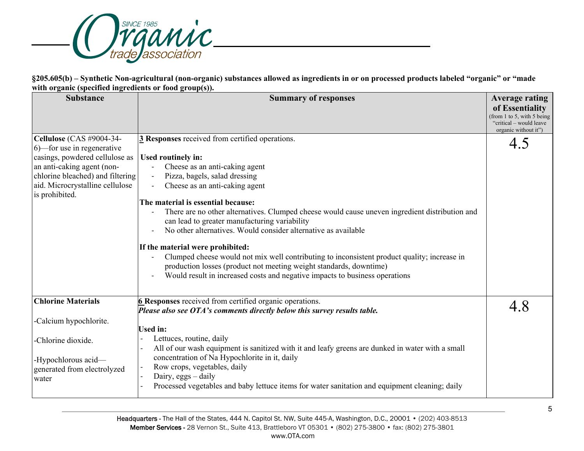

**§205.605(b) – Synthetic Non-agricultural (non-organic) substances allowed as ingredients in or on processed products labeled "organic" or "made with organic (specified ingredients or food group(s)).**

| <b>Substance</b>                                                                                                                                                                                                | <b>Summary of responses</b>                                                                                                                                                                                                                                                                                                                                                                                                                                                                                                                                                                                                                                                                                                   | <b>Average rating</b><br>of Essentiality<br>(from 1 to 5, with 5 being<br>"critical – would leave" |
|-----------------------------------------------------------------------------------------------------------------------------------------------------------------------------------------------------------------|-------------------------------------------------------------------------------------------------------------------------------------------------------------------------------------------------------------------------------------------------------------------------------------------------------------------------------------------------------------------------------------------------------------------------------------------------------------------------------------------------------------------------------------------------------------------------------------------------------------------------------------------------------------------------------------------------------------------------------|----------------------------------------------------------------------------------------------------|
| Cellulose (CAS #9004-34-<br>6)—for use in regenerative<br>casings, powdered cellulose as<br>an anti-caking agent (non-<br>chlorine bleached) and filtering<br>aid. Microcrystalline cellulose<br>is prohibited. | 3 Responses received from certified operations.<br>Used routinely in:<br>Cheese as an anti-caking agent<br>Pizza, bagels, salad dressing<br>Cheese as an anti-caking agent<br>The material is essential because:<br>There are no other alternatives. Clumped cheese would cause uneven ingredient distribution and<br>can lead to greater manufacturing variability<br>No other alternatives. Would consider alternative as available<br>If the material were prohibited:<br>Clumped cheese would not mix well contributing to inconsistent product quality; increase in<br>production losses (product not meeting weight standards, downtime)<br>Would result in increased costs and negative impacts to business operations | organic without it")<br>4.5                                                                        |
| <b>Chlorine Materials</b><br>-Calcium hypochlorite.<br>-Chlorine dioxide.<br>-Hypochlorous acid-<br>generated from electrolyzed<br>water                                                                        | <b>6 Responses</b> received from certified organic operations.<br>Please also see OTA's comments directly below this survey results table.<br><b>Used in:</b><br>Lettuces, routine, daily<br>All of our wash equipment is sanitized with it and leafy greens are dunked in water with a small<br>concentration of Na Hypochlorite in it, daily<br>Row crops, vegetables, daily<br>Dairy, $eggs - daily$<br>Processed vegetables and baby lettuce items for water sanitation and equipment cleaning; daily                                                                                                                                                                                                                     | 4.8                                                                                                |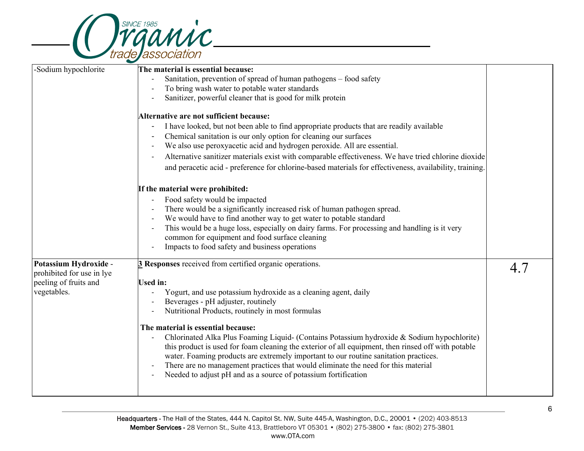

|                                                                                            | $\overline{\phantom{0}}$                                                                                                                                                                                                                                                                                                                                                                                                                                                                                                                                                                                                                                                                                                                                                      |     |
|--------------------------------------------------------------------------------------------|-------------------------------------------------------------------------------------------------------------------------------------------------------------------------------------------------------------------------------------------------------------------------------------------------------------------------------------------------------------------------------------------------------------------------------------------------------------------------------------------------------------------------------------------------------------------------------------------------------------------------------------------------------------------------------------------------------------------------------------------------------------------------------|-----|
| -Sodium hypochlorite                                                                       | The material is essential because:<br>Sanitation, prevention of spread of human pathogens - food safety<br>To bring wash water to potable water standards<br>Sanitizer, powerful cleaner that is good for milk protein<br>Alternative are not sufficient because:<br>I have looked, but not been able to find appropriate products that are readily available<br>Chemical sanitation is our only option for cleaning our surfaces<br>$\overline{a}$<br>We also use peroxyacetic acid and hydrogen peroxide. All are essential.<br>$\overline{\phantom{a}}$<br>Alternative sanitizer materials exist with comparable effectiveness. We have tried chlorine dioxide<br>and peracetic acid - preference for chlorine-based materials for effectiveness, availability, training.  |     |
|                                                                                            | If the material were prohibited:<br>Food safety would be impacted<br>$\qquad \qquad \blacksquare$<br>There would be a significantly increased risk of human pathogen spread.<br>$\overline{\phantom{a}}$<br>We would have to find another way to get water to potable standard<br>$\overline{\phantom{a}}$<br>This would be a huge loss, especially on dairy farms. For processing and handling is it very<br>$\overline{\phantom{a}}$<br>common for equipment and food surface cleaning<br>Impacts to food safety and business operations                                                                                                                                                                                                                                    |     |
| Potassium Hydroxide -<br>prohibited for use in lye<br>peeling of fruits and<br>vegetables. | 3 Responses received from certified organic operations.<br><b>Used in:</b><br>Yogurt, and use potassium hydroxide as a cleaning agent, daily<br>Beverages - pH adjuster, routinely<br>Nutritional Products, routinely in most formulas<br>The material is essential because:<br>Chlorinated Alka Plus Foaming Liquid- (Contains Potassium hydroxide & Sodium hypochlorite)<br>this product is used for foam cleaning the exterior of all equipment, then rinsed off with potable<br>water. Foaming products are extremely important to our routine sanitation practices.<br>There are no management practices that would eliminate the need for this material<br>$\overline{a}$<br>Needed to adjust pH and as a source of potassium fortification<br>$\overline{\phantom{0}}$ | 4.7 |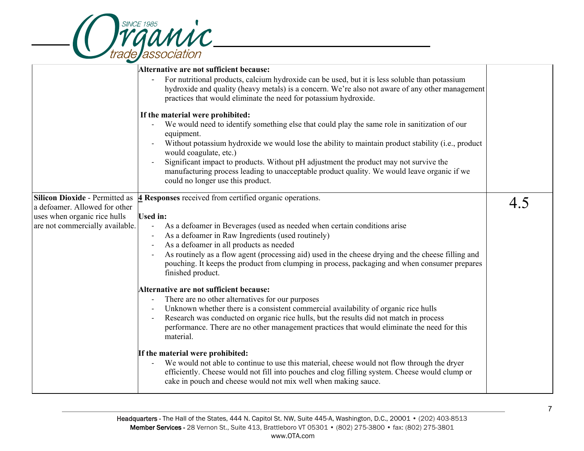

| $\overline{\phantom{0}}$              |                                                                                                                                                                                                                                                                       |     |
|---------------------------------------|-----------------------------------------------------------------------------------------------------------------------------------------------------------------------------------------------------------------------------------------------------------------------|-----|
|                                       | Alternative are not sufficient because:                                                                                                                                                                                                                               |     |
|                                       | For nutritional products, calcium hydroxide can be used, but it is less soluble than potassium<br>hydroxide and quality (heavy metals) is a concern. We're also not aware of any other management<br>practices that would eliminate the need for potassium hydroxide. |     |
|                                       | If the material were prohibited:                                                                                                                                                                                                                                      |     |
|                                       | We would need to identify something else that could play the same role in sanitization of our<br>equipment.                                                                                                                                                           |     |
|                                       | Without potassium hydroxide we would lose the ability to maintain product stability (i.e., product<br>would coagulate, etc.)                                                                                                                                          |     |
|                                       | Significant impact to products. Without pH adjustment the product may not survive the<br>manufacturing process leading to unacceptable product quality. We would leave organic if we<br>could no longer use this product.                                             |     |
| <b>Silicon Dioxide - Permitted as</b> | <b>4</b> Responses received from certified organic operations.                                                                                                                                                                                                        |     |
| a defoamer. Allowed for other         |                                                                                                                                                                                                                                                                       | 4.5 |
| uses when organic rice hulls          | <b>Used in:</b>                                                                                                                                                                                                                                                       |     |
| are not commercially available.       | As a defoamer in Beverages (used as needed when certain conditions arise<br>$\overline{\phantom{a}}$                                                                                                                                                                  |     |
|                                       | As a defoamer in Raw Ingredients (used routinely)<br>$\overline{\phantom{a}}$                                                                                                                                                                                         |     |
|                                       | As a defoamer in all products as needed                                                                                                                                                                                                                               |     |
|                                       | As routinely as a flow agent (processing aid) used in the cheese drying and the cheese filling and<br>$\overline{\phantom{a}}$<br>pouching. It keeps the product from clumping in process, packaging and when consumer prepares<br>finished product.                  |     |
|                                       | Alternative are not sufficient because:                                                                                                                                                                                                                               |     |
|                                       | There are no other alternatives for our purposes<br>$\overline{\phantom{a}}$                                                                                                                                                                                          |     |
|                                       | Unknown whether there is a consistent commercial availability of organic rice hulls<br>$\overline{\phantom{a}}$                                                                                                                                                       |     |
|                                       | Research was conducted on organic rice hulls, but the results did not match in process                                                                                                                                                                                |     |
|                                       | performance. There are no other management practices that would eliminate the need for this<br>material.                                                                                                                                                              |     |
|                                       | If the material were prohibited:                                                                                                                                                                                                                                      |     |
|                                       | We would not able to continue to use this material, cheese would not flow through the dryer<br>efficiently. Cheese would not fill into pouches and clog filling system. Cheese would clump or<br>cake in pouch and cheese would not mix well when making sauce.       |     |
|                                       |                                                                                                                                                                                                                                                                       |     |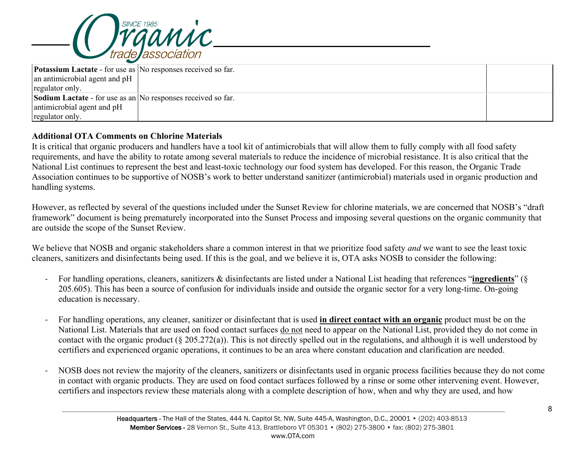

| <b>Potassium Lactate</b> - for use as No responses received so far. |  |  |
|---------------------------------------------------------------------|--|--|
| an antimicrobial agent and pH                                       |  |  |
| regulator only.                                                     |  |  |
| <b>Sodium Lactate</b> - for use as an No responses received so far. |  |  |
| antimicrobial agent and pH                                          |  |  |
| regulator only.                                                     |  |  |

## **Additional OTA Comments on Chlorine Materials**

It is critical that organic producers and handlers have a tool kit of antimicrobials that will allow them to fully comply with all food safety requirements, and have the ability to rotate among several materials to reduce the incidence of microbial resistance. It is also critical that the National List continues to represent the best and least-toxic technology our food system has developed. For this reason, the Organic Trade Association continues to be supportive of NOSB's work to better understand sanitizer (antimicrobial) materials used in organic production and handling systems.

However, as reflected by several of the questions included under the Sunset Review for chlorine materials, we are concerned that NOSB's "draft framework" document is being prematurely incorporated into the Sunset Process and imposing several questions on the organic community that are outside the scope of the Sunset Review.

We believe that NOSB and organic stakeholders share a common interest in that we prioritize food safety *and* we want to see the least toxic cleaners, sanitizers and disinfectants being used. If this is the goal, and we believe it is, OTA asks NOSB to consider the following:

- For handling operations, cleaners, sanitizers & disinfectants are listed under a National List heading that references "**ingredients**" (§ 205.605). This has been a source of confusion for individuals inside and outside the organic sector for a very long-time. On-going education is necessary.
- For handling operations, any cleaner, sanitizer or disinfectant that is used **in direct contact with an organic** product must be on the National List. Materials that are used on food contact surfaces do not need to appear on the National List, provided they do not come in contact with the organic product (§ 205.272(a)). This is not directly spelled out in the regulations, and although it is well understood by certifiers and experienced organic operations, it continues to be an area where constant education and clarification are needed.
- NOSB does not review the majority of the cleaners, sanitizers or disinfectants used in organic process facilities because they do not come in contact with organic products. They are used on food contact surfaces followed by a rinse or some other intervening event. However, certifiers and inspectors review these materials along with a complete description of how, when and why they are used, and how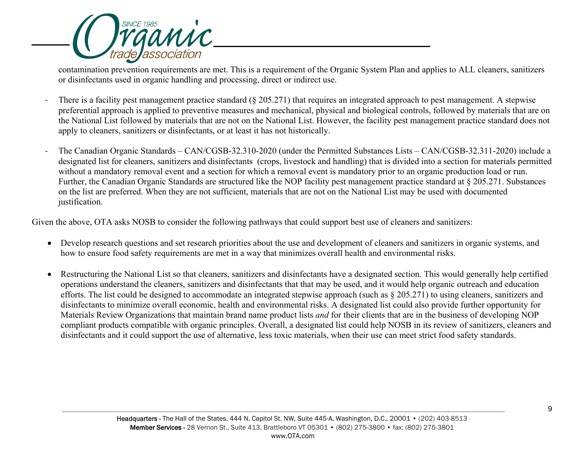

contamination prevention requirements are met. This is a requirement of the Organic System Plan and applies to ALL cleaners, sanitizers or disinfectants used in organic handling and processing, direct or indirect use.

- There is a facility pest management practice standard (§ 205.271) that requires an integrated approach to pest management. A stepwise preferential approach is applied to preventive measures and mechanical, physical and biological controls, followed by materials that are on the National List followed by materials that are not on the National List. However, the facility pest management practice standard does not apply to cleaners, sanitizers or disinfectants, or at least it has not historically.
- The Canadian Organic Standards CAN/CGSB-32.310-2020 (under the Permitted Substances Lists CAN/CGSB-32.311-2020) include a designated list for cleaners, sanitizers and disinfectants (crops, livestock and handling) that is divided into a section for materials permitted without a mandatory removal event and a section for which a removal event is mandatory prior to an organic production load or run. Further, the Canadian Organic Standards are structured like the NOP facility pest management practice standard at § 205.271. Substances on the list are preferred. When they are not sufficient, materials that are not on the National List may be used with documented justification.

Given the above, OTA asks NOSB to consider the following pathways that could support best use of cleaners and sanitizers:

- Develop research questions and set research priorities about the use and development of cleaners and sanitizers in organic systems, and how to ensure food safety requirements are met in a way that minimizes overall health and environmental risks.
- Restructuring the National List so that cleaners, sanitizers and disinfectants have a designated section. This would generally help certified operations understand the cleaners, sanitizers and disinfectants that that may be used, and it would help organic outreach and education efforts. The list could be designed to accommodate an integrated stepwise approach (such as § 205.271) to using cleaners, sanitizers and disinfectants to minimize overall economic, health and environmental risks. A designated list could also provide further opportunity for Materials Review Organizations that maintain brand name product lists *and* for their clients that are in the business of developing NOP compliant products compatible with organic principles. Overall, a designated list could help NOSB in its review of sanitizers, cleaners and disinfectants and it could support the use of alternative, less toxic materials, when their use can meet strict food safety standards.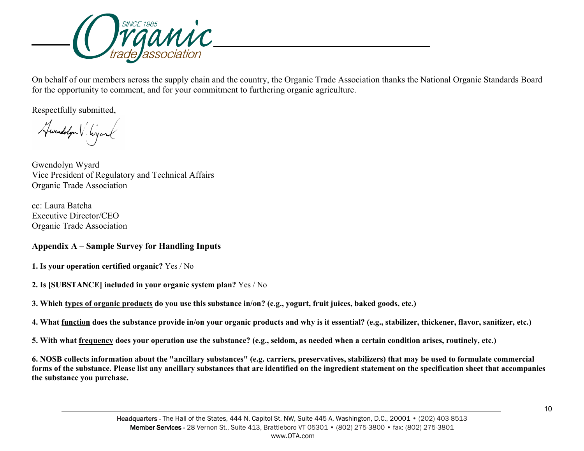

On behalf of our members across the supply chain and the country, the Organic Trade Association thanks the National Organic Standards Board for the opportunity to comment, and for your commitment to furthering organic agriculture.

Respectfully submitted,

Hwendologn V. Wyand

Gwendolyn Wyard Vice President of Regulatory and Technical Affairs Organic Trade Association

cc: Laura Batcha Executive Director/CEO Organic Trade Association

# **Appendix A** – **Sample Survey for Handling Inputs**

- **1. Is your operation certified organic?** Yes / No
- **2. Is [SUBSTANCE] included in your organic system plan?** Yes / No
- 3. Which types of organic products do you use this substance in/on? (e.g., yogurt, fruit juices, baked goods, etc.)
- 4. What function does the substance provide in/on your organic products and why is it essential? (e.g., stabilizer, thickener, flavor, sanitizer, etc.)
- 5. With what frequency does your operation use the substance? (e.g., seldom, as needed when a certain condition arises, routinely, etc.)

6. NOSB collects information about the "ancillary substances" (e.g. carriers, preservatives, stabilizers) that may be used to formulate commercial forms of the substance. Please list any ancillary substances that are identified on the ingredient statement on the specification sheet that accompanies **the substance you purchase.**